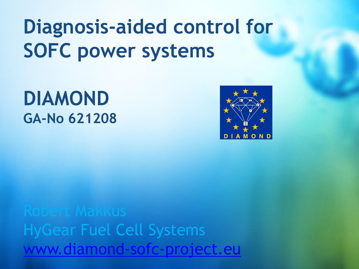# **Diagnosis-aided control for SOFC power systems**

## **DIAMOND GA-No 621208**



HyGear Fuel Cell Systems [www.diamond-sofc-project.eu](http://www.diamond-sofc-project.eu/)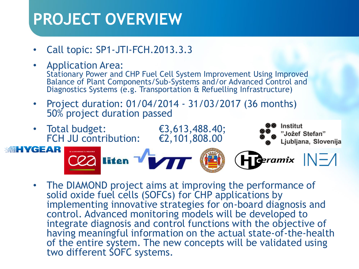### **PROJECT OVERVIEW**

- Call topic: SP1-JTI-FCH.2013.3.3
- Application Area: Stationary Power and CHP Fuel Cell System Improvement Using Improved Balance of Plant Components/Sub-Systems and/or Advanced Control and Diagnostics Systems (e.g. Transportation & Refuelling Infrastructure)
- Project duration: 01/04/2014 31/03/2017 (36 months) 50% project duration passed



• The DIAMOND project aims at improving the performance of solid oxide fuel cells (SOFCs) for CHP applications by implementing innovative strategies for on-board diagnosis and control. Advanced monitoring models will be developed to integrate diagnosis and control functions with the objective of having meaningful information on the actual state-of-the-health of the entire system. The new concepts will be validated using two different SOFC systems.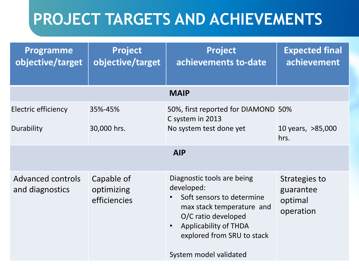### **PROJECT TARGETS AND ACHIEVEMENTS**

| Programme<br>objective/target               | <b>Project</b><br>objective/target       | <b>Project</b><br>achievements to-date                                                                                                                                                                                         | <b>Expected final</b><br>achievement               |  |  |
|---------------------------------------------|------------------------------------------|--------------------------------------------------------------------------------------------------------------------------------------------------------------------------------------------------------------------------------|----------------------------------------------------|--|--|
| <b>MAIP</b>                                 |                                          |                                                                                                                                                                                                                                |                                                    |  |  |
| Electric efficiency<br>Durability           | 35%-45%<br>30,000 hrs.                   | 50%, first reported for DIAMOND 50%<br>C system in 2013<br>No system test done yet                                                                                                                                             | 10 years, >85,000<br>hrs.                          |  |  |
| <b>AIP</b>                                  |                                          |                                                                                                                                                                                                                                |                                                    |  |  |
| <b>Advanced controls</b><br>and diagnostics | Capable of<br>optimizing<br>efficiencies | Diagnostic tools are being<br>developed:<br>Soft sensors to determine<br>max stack temperature and<br>O/C ratio developed<br><b>Applicability of THDA</b><br>$\bullet$<br>explored from SRU to stack<br>System model validated | Strategies to<br>guarantee<br>optimal<br>operation |  |  |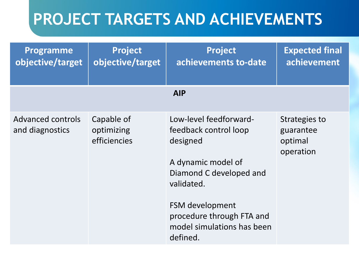### **PROJECT TARGETS AND ACHIEVEMENTS**

| <b>Programme</b><br>objective/target        | <b>Project</b><br>objective/target       | <b>Project</b><br>achievements to-date                                                                                                                                                                               | <b>Expected final</b><br>achievement               |  |
|---------------------------------------------|------------------------------------------|----------------------------------------------------------------------------------------------------------------------------------------------------------------------------------------------------------------------|----------------------------------------------------|--|
| <b>AIP</b>                                  |                                          |                                                                                                                                                                                                                      |                                                    |  |
| <b>Advanced controls</b><br>and diagnostics | Capable of<br>optimizing<br>efficiencies | Low-level feedforward-<br>feedback control loop<br>designed<br>A dynamic model of<br>Diamond C developed and<br>validated.<br>FSM development<br>procedure through FTA and<br>model simulations has been<br>defined. | Strategies to<br>guarantee<br>optimal<br>operation |  |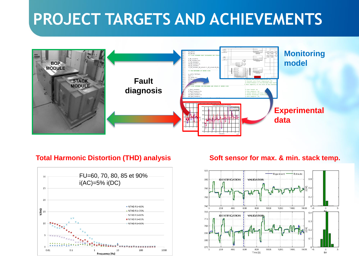### **PROJECT TARGETS AND ACHIEVEMENTS**



### **Total Harmonic Distortion (THD) analysis Soft sensor for max. & min. stack temp.**



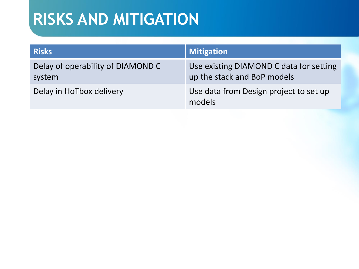### **RISKS AND MITIGATION**

| <b>Risks</b>                                | <b>Mitigation</b>                                                      |
|---------------------------------------------|------------------------------------------------------------------------|
| Delay of operability of DIAMOND C<br>system | Use existing DIAMOND C data for setting<br>up the stack and BoP models |
| Delay in HoTbox delivery                    | Use data from Design project to set up<br>models                       |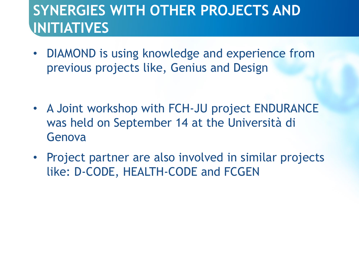### **SYNERGIES WITH OTHER PROJECTS AND INITIATIVES**

- DIAMOND is using knowledge and experience from previous projects like, Genius and Design
- A Joint workshop with FCH-JU project ENDURANCE was held on September 14 at the Università di Genova
- Project partner are also involved in similar projects like: D-CODE, HEALTH-CODE and FCGEN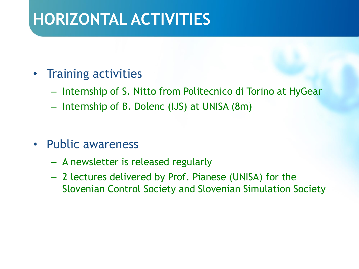### **HORIZONTAL ACTIVITIES**

- Training activities
	- Internship of S. Nitto from Politecnico di Torino at HyGear
	- Internship of B. Dolenc (IJS) at UNISA (8m)
- Public awareness
	- A newsletter is released regularly
	- 2 lectures delivered by Prof. Pianese (UNISA) for the Slovenian Control Society and Slovenian Simulation Society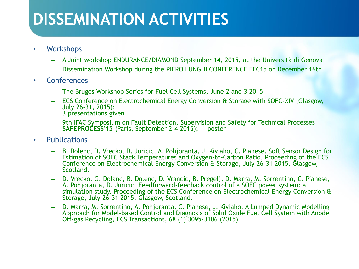### **DISSEMINATION ACTIVITIES**

- Workshops
	- A Joint workshop ENDURANCE/DIAMOND September 14, 2015, at the Università di Genova
	- Dissemination Workshop during the PIERO LUNGHI CONFERENCE EFC15 on December 16th
- Conferences
	- The Bruges Workshop Series for Fuel Cell Systems, June 2 and 3 2015
	- ECS Conference on Electrochemical Energy Conversion & Storage with SOFC-XIV (Glasgow, July 26-31, 2015); 3 presentations given
	- 9th IFAC Symposium on Fault Detection, Supervision and Safety for Technical Processes **SAFEPROCESS'15** (Paris, September 2-4 2015); 1 poster
- Publications
	- B. Dolenc, D. Vrecko, D. Juricic, A. Pohjoranta, J. Kiviaho, C. Pianese. Soft Sensor Design for Estimation of SOFC Stack Temperatures and Oxygen-to-Carbon Ratio. Proceeding of the ECS Conference on Electrochemical Energy Conversion & Storage, July 26-31 2015, Glasgow, Scotland.
	- D. Vrecko, G. Dolanc, B. Dolenc, D. Vrancic, B. Pregelj, D. Marra, M. Sorrentino, C. Pianese, A. Pohjoranta, D. Juricic. Feedforward-feedback control of a SOFC power system: a simulation study. Proceeding of the ECS Conference on Electrochemical Energy Conversion & Storage, July 26-31 2015, Glasgow, Scotland.
	- D. Marra, M. Sorrentino, A. Pohjoranta, C. Pianese, J. Kiviaho, A Lumped Dynamic Modelling Approach for Model-based Control and Diagnosis of Solid Oxide Fuel Cell System with Anode Off-gas Recycling, ECS Transactions, 68 (1) 3095-3106 (2015)